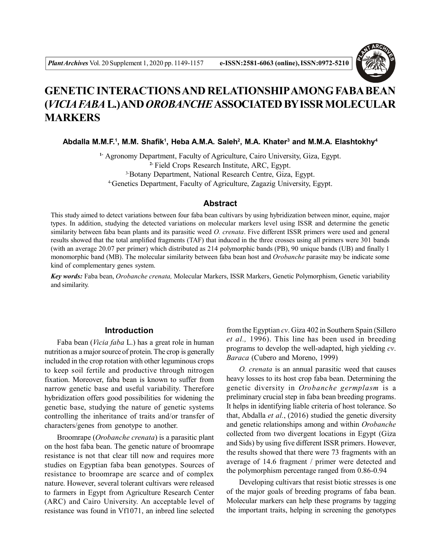

# **GENETIC INTERACTIONS AND RELATIONSHIPAMONG FABA BEAN (***VICIA FABA* **L.) AND** *OROBANCHE* **ASSOCIATED BY ISSR MOLECULAR MARKERS**

## **Abdalla M.M.F.<sup>1</sup> , M.M. Shafik<sup>1</sup> , Heba A.M.A. Saleh<sup>2</sup> , M.A. Khater<sup>3</sup> and M.M.A. Elashtokhy<sup>4</sup>**

**1-** Agronomy Department, Faculty of Agriculture, Cairo University, Giza, Egypt. **2-** Field Crops Research Institute, ARC, Egypt. 3-Botany Department, National Research Centre, Giza, Egypt. 4-Genetics Department, Faculty of Agriculture, Zagazig University, Egypt.

## **Abstract**

This study aimed to detect variations between four faba bean cultivars by using hybridization between minor, equine, major types. In addition, studying the detected variations on molecular markers level using ISSR and determine the genetic similarity between faba bean plants and its parasitic weed *O. crenata*. Five different ISSR primers were used and general results showed that the total amplified fragments (TAF) that induced in the three crosses using all primers were 301 bands (with an average 20.07 per primer) which distributed as 214 polymorphic bands (PB), 90 unique bands (UB) and finally 1 monomorphic band (MB). The molecular similarity between faba bean host and *Orobanche* parasite may be indicate some kind of complementary genes system.

*Key words:* Faba bean, *Orobanche crenata,* Molecular Markers, ISSR Markers, Genetic Polymorphism, Genetic variability and similarity.

## **Introduction**

Faba bean (*Vicia faba* L.) has a great role in human nutrition as a major source of protein. The crop is generally included in the crop rotation with other leguminous crops to keep soil fertile and productive through nitrogen fixation. Moreover, faba bean is known to suffer from narrow genetic base and useful variability. Therefore hybridization offers good possibilities for widening the genetic base, studying the nature of genetic systems controlling the inheritance of traits and/or transfer of characters/genes from genotype to another.

Broomrape (*Orobanche crenata*) is a parasitic plant on the host faba bean. The genetic nature of broomrape resistance is not that clear till now and requires more studies on Egyptian faba bean genotypes. Sources of resistance to broomrape are scarce and of complex nature. However, several tolerant cultivars were released to farmers in Egypt from Agriculture Research Center (ARC) and Cairo University. An acceptable level of resistance was found in Vf1071, an inbred line selected

from the Egyptian *cv*. Giza 402 in Southern Spain (Sillero *et al.,* 1996). This line has been used in breeding programs to develop the well-adapted, high yielding *cv*. *Baraca* (Cubero and Moreno, 1999)

*O. crenata* is an annual parasitic weed that causes heavy losses to its host crop faba bean. Determining the genetic diversity in *Orobanche germplasm* is a preliminary crucial step in faba bean breeding programs. It helps in identifying liable criteria of host tolerance. So that, Abdalla *et al.*, (2016) studied the genetic diversity and genetic relationships among and within *Orobanche* collected from two divergent locations in Egypt (Giza and Sids) by using five different ISSR primers. However, the results showed that there were 73 fragments with an average of 14.6 fragment / primer were detected and the polymorphism percentage ranged from 0.86-0.94

Developing cultivars that resist biotic stresses is one of the major goals of breeding programs of faba bean. Molecular markers can help these programs by tagging the important traits, helping in screening the genotypes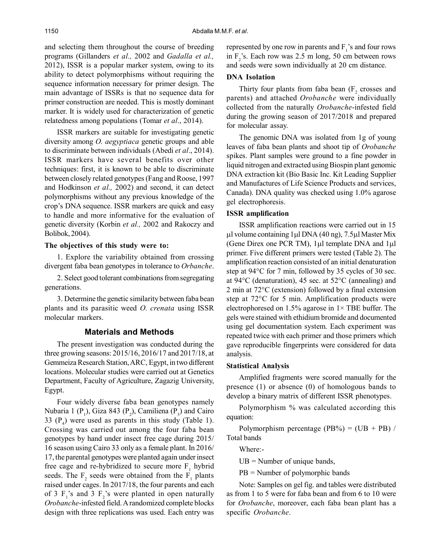and selecting them throughout the course of breeding programs (Gillanders *et al.,* 2002 and *Gadalla et al.,* 2012), ISSR is a popular marker system, owing to its ability to detect polymorphisms without requiring the sequence information necessary for primer design. The main advantage of ISSRs is that no sequence data for primer construction are needed. This is mostly dominant marker. It is widely used for characterization of genetic relatedness among populations (Tomar *et al*., 2014).

ISSR markers are suitable for investigating genetic diversity among *O. aegyptiaca* genetic groups and able to discriminate between individuals (Abedi *et al*., 2014). ISSR markers have several benefits over other techniques: first, it is known to be able to discriminate between closely related genotypes (Fang and Roose, 1997 and Hodkinson *et al.,* 2002) and second, it can detect polymorphisms without any previous knowledge of the crop's DNA sequence. ISSR markers are quick and easy to handle and more informative for the evaluation of genetic diversity (Korbin *et al.,* 2002 and Rakoczy and Bolibok, 2004).

#### **The objectives of this study were to:**

1. Explore the variability obtained from crossing divergent faba bean genotypes in tolerance to *Orbanche*.

2. Select good tolerant combinations from segregating generations.

3. Determine the genetic similarity between faba bean plants and its parasitic weed *O. crenata* using ISSR molecular markers.

### **Materials and Methods**

The present investigation was conducted during the three growing seasons: 2015/16, 2016/17 and 2017/18, at Gemmeiza Research Station, ARC, Egypt, in two different locations. Molecular studies were carried out at Genetics Department, Faculty of Agriculture, Zagazig University, Egypt.

Four widely diverse faba bean genotypes namely Nubaria 1 ( $P_1$ ), Giza 843 ( $P_2$ ), Camiliena ( $P_3$ ) and Cairo 33  $(P_4)$  were used as parents in this study (Table 1). Crossing was carried out among the four faba bean genotypes by hand under insect free cage during 2015/ 16 season using Cairo 33 only as a female plant. In 2016/ 17, the parental genotypes were planted again under insect free cage and re-hybridized to secure more  $F_1$  hybrid seeds. The  $F_2$  seeds were obtained from the  $F_1$  plants raised under cages. In 2017/18, the four parents and each of 3  $F_1$ 's and 3  $F_2$ 's were planted in open naturally *Orobanche*-infested field. A randomized complete blocks design with three replications was used. Each entry was

represented by one row in parents and  $F_i$ 's and four rows in  $F_2$ 's. Each row was 2.5 m long, 50 cm between rows and seeds were sown individually at 20 cm distance.

## **DNA Isolation**

Thirty four plants from faba bean  $(F_2)$  crosses and parents) and attached *Orobanche* were individually collected from the naturally *Orobanche*-infested field during the growing season of 2017/2018 and prepared for molecular assay.

The genomic DNA was isolated from 1g of young leaves of faba bean plants and shoot tip of *Orobanche* spikes. Plant samples were ground to a fine powder in liquid nitrogen and extracted using Biospin plant genomic DNA extraction kit (Bio Basic Inc. Kit Leading Supplier and Manufactures of Life Science Products and services, Canada). DNA quality was checked using 1.0% agarose gel electrophoresis.

#### **ISSR amplification**

ISSR amplification reactions were carried out in 15 ul volume containing 1 µl DNA  $(40 \text{ ng})$ , 7.5µl Master Mix (Gene Direx one PCR TM),  $1\mu l$  template DNA and  $1\mu l$ primer. Five different primers were tested (Table 2). The amplification reaction consisted of an initial denaturation step at 94°C for 7 min, followed by 35 cycles of 30 sec. at 94°C (denaturation), 45 sec. at 52°C (annealing) and 2 min at 72°C (extension) followed by a final extension step at 72°C for 5 min. Amplification products were electrophoresed on 1.5% agarose in  $1 \times$  TBE buffer. The gels were stained with ethidium bromide and documented using gel documentation system. Each experiment was repeated twice with each primer and those primers which gave reproducible fingerprints were considered for data analysis.

#### **Statistical Analysis**

Amplified fragments were scored manually for the presence (1) or absence (0) of homologous bands to develop a binary matrix of different ISSR phenotypes.

Polymorphism % was calculated according this equation:

Polymorphism percentage (PB%) =  $(UB + PB)$  / Total bands

Where:-

 $UB =$  Number of unique bands,

PB = Number of polymorphic bands

Note: Samples on gel fig. and tables were distributed as from 1 to 5 were for faba bean and from 6 to 10 were for *Orobanche*, moreover, each faba bean plant has a specific *Orobanche*.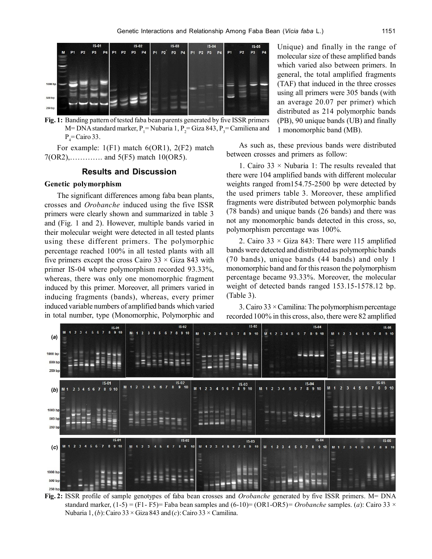

**Fig. 1:** Banding pattern of tested faba bean parents generated by five ISSR primers M= DNA standard marker,  $P_1$ = Nubaria 1,  $P_2$ = Giza 843,  $P_3$ = Camiliena and  $P_4$ = Cairo 33.

For example:  $1(F1)$  match 6(OR1), 2(F2) match  $7(OR2)$ , .............. and  $5(F5)$  match 10(OR5).

## **Results and Discussion**

#### **Genetic polymorphism**

The significant differences among faba bean plants, crosses and *Orobanche* induced using the five ISSR primers were clearly shown and summarized in table 3 and (Fig. 1 and 2). However, multiple bands varied in their molecular weight were detected in all tested plants using these different primers. The polymorphic percentage reached 100% in all tested plants with all five primers except the cross Cairo  $33 \times$  Giza 843 with primer IS-04 where polymorphism recorded 93.33%, whereas, there was only one monomorphic fragment induced by this primer. Moreover, all primers varied in inducing fragments (bands), whereas, every primer induced variable numbers of amplified bands which varied in total number, type (Monomorphic, Polymorphic and

Unique) and finally in the range of molecular size of these amplified bands which varied also between primers. In general, the total amplified fragments (TAF) that induced in the three crosses using all primers were 305 bands (with an average 20.07 per primer) which distributed as 214 polymorphic bands (PB), 90 unique bands (UB) and finally 1 monomorphic band (MB).

As such as, these previous bands were distributed between crosses and primers as follow:

1. Cairo  $33 \times$  Nubaria 1: The results revealed that there were 104 amplified bands with different molecular weights ranged from154.75-2500 bp were detected by the used primers table 3. Moreover, these amplified fragments were distributed between polymorphic bands (78 bands) and unique bands (26 bands) and there was not any monomorphic bands detected in this cross, so, polymorphism percentage was 100%.

2. Cairo 33  $\times$  Giza 843: There were 115 amplified bands were detected and distributed as polymorphic bands (70 bands), unique bands (44 bands) and only 1 monomorphic band and for this reason the polymorphism percentage became 93.33%. Moreover, the molecular weight of detected bands ranged 153.15-1578.12 bp. (Table 3).

3. Cairo  $33 \times$  Camilina: The polymorphism percentage recorded 100% in this cross, also, there were 82 amplified



**Fig. 2:** ISSR profile of sample genotypes of faba bean crosses and *Orobanche* generated by five ISSR primers. M= DNA standard marker,  $(1-5) = (F1 - F5)$ = Faba bean samples and  $(6-10) = (OR1-OR5) = Orobanche$  samples. (*a*): Cairo 33 × Nubaria 1, (*b*): Cairo 33 × Giza 843 and (*c*): Cairo 33 × Camilina.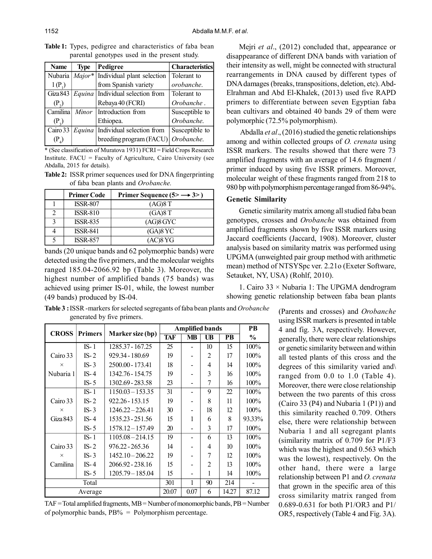| <b>Name</b>       | <b>Type</b> | Pedigree                                        | <b>Characteristics</b> |
|-------------------|-------------|-------------------------------------------------|------------------------|
| Nubaria           |             | $\overline{Major^*}$ Individual plant selection | Tolerant to            |
| $1(P_1)$          |             | from Spanish variety                            | orobanche.             |
| Giza 843          |             | <i>Equina</i>   Individual selection from       | Tolerant to            |
| (P <sub>2</sub> ) |             | Rebaya 40 (FCRI)                                | Orobanche.             |
| Camilina          | Minor       | Introduction from                               | Susceptible to         |
| $(P_2)$           |             | Ethiopea.                                       | Orobanche.             |
| Cairo 33          |             | $Equina$ Individual selection from              | Susceptible to         |
| $(P_4)$           |             | breeding program (FACU)                         | Orobanche.             |

**Table 1:** Types, pedigree and characteristics of faba bean parental genotypes used in the present study.

\* (See classification of Muratova 1931) FCRI = Field Crops Research Institute. FACU = Faculty of Agriculture, Cairo University (see Abdalla, 2015 for details).

**Table 2:** ISSR primer sequences used for DNA fingerprinting of faba bean plants and *Orobanche.*

|   | <b>Primer Code</b> | Primer Sequence $(5 \rightarrow 3)$ |
|---|--------------------|-------------------------------------|
|   | <b>ISSR-807</b>    | (AG)8T                              |
|   | <b>ISSR-810</b>    | (GA)8T                              |
| 3 | <b>ISSR-835</b>    | $(AG)8$ GYC                         |
| 4 | <b>ISSR-841</b>    | $(GA)8$ YC                          |
|   | <b>ISSR-857</b>    | $(AC)8$ YG                          |

bands (20 unique bands and 62 polymorphic bands) were detected using the five primers, and the molecular weights ranged 185.04-2066.92 bp (Table 3). Moreover, the highest number of amplified bands (75 bands) was achieved using primer IS-01, while, the lowest number (49 bands) produced by IS-04.

Mejri *et al*., (2012) concluded that, appearance or disappearance of different DNA bands with variation of their intensity as well, might be connected with structural rearrangements in DNA caused by different types of DNA damages (breaks, transpositions, deletion, etc). Abd-Elrahman and Abd El-Khalek, (2013) used five RAPD primers to differentiate between seven Egyptian faba bean cultivars and obtained 40 bands 29 of them were polymorphic (72.5% polymorphism).

 Abdalla *et al*., (2016) studied the genetic relationships among and within collected groups of *O. crenata* using ISSR markers. The results showed that there were 73 amplified fragments with an average of 14.6 fragment / primer induced by using five ISSR primers. Moreover, molecular weight of these fragments ranged from 218 to 980 bp with polymorphism percentage ranged from 86-94%.

## **Genetic Similarity**

Genetic similarity matrix among all studied faba bean genotypes, crosses and *Orobanche* was obtained from amplified fragments shown by five ISSR markers using Jaccard coefficients (Jaccard, 1908). Moreover, cluster analysis based on similarity matrix was performed using UPGMA (unweighted pair group method with arithmetic mean) method of NTSYSpc ver. 2.21o (Exeter Software, Setauket, NY, USA) (Rohlf, 2010).

1. Cairo 33 × Nubaria 1: The UPGMA dendrogram showing genetic relationship between faba bean plants

**Table 3 :**ISSR -markers for selected segregants of faba bean plants and *Orobanche* generated by five primers.

|           | <b>CROSS</b><br>Marker size (bp) |                    |      | <b>Amplified bands</b> |                |                  |               |  |  |  |
|-----------|----------------------------------|--------------------|------|------------------------|----------------|------------------|---------------|--|--|--|
|           | <b>Primers</b>                   |                    |      | <b>MB</b>              | UB             | <b>PB</b>        | $\frac{0}{0}$ |  |  |  |
|           | $IS-1$                           | 1285.37 - 167.25   | 25   |                        | 10             | 15               | 100%          |  |  |  |
| Cairo 33  | $IS-2$                           | 929.34 - 180.69    | 19   |                        | 2              | 17               | 100%          |  |  |  |
| $\times$  | $IS-3$                           | 2500.00 - 173.41   | 18   |                        | 4              | 14               | 100%          |  |  |  |
| Nubaria 1 | $IS-4$                           | 1342.76 - 154.75   | 19   |                        | 3              | 16               | 100%          |  |  |  |
|           | $IS-5$                           | 1302.69 - 283.58   | 23   |                        | 7              | 16               | $100\%$       |  |  |  |
|           | $IS-1$                           | $1150.03 - 153.35$ | 31   |                        | 9              | 22               | 100%          |  |  |  |
| Cairo 33  | $IS-2$                           | 922.26 - 153.15    | 19   |                        | 8              | 11               | 100%          |  |  |  |
| $\times$  | $IS-3$                           | $1246.22 - 226.41$ | 30   |                        | 18             | 12               | $100\%$       |  |  |  |
| Giza 843  | $IS-4$                           | 1535.23 - 251.56   | 15   | 1                      | 6              | 8                | 93.33%        |  |  |  |
|           | $IS-5$                           | 1578.12 – 157.49   | 20   |                        | 3              | 17               | $100\%$       |  |  |  |
|           | $IS-1$                           | 1105.08 - 214.15   | 19   |                        | 6              | 13               | 100%          |  |  |  |
| Cairo 33  | $IS-2$                           | 976.22 - 265.36    | 14   |                        | 4              | 10 <sup>10</sup> | 100%          |  |  |  |
| $\times$  | $IS-3$                           | $1452.10 - 206.22$ | 19   |                        | 7              | 12               | $100\%$       |  |  |  |
| Camilina  | $IS-4$                           | 2066.92 - 238.16   | 15   |                        | $\mathfrak{D}$ | 13               | 100%          |  |  |  |
|           | $IS-5$                           | 1205.79 - 185.04   | 15   |                        | 1              | 14               | 100%          |  |  |  |
|           | 301                              | 1                  | 90   | 214                    |                |                  |               |  |  |  |
|           | Average                          | 20.07              | 0.07 | 6                      | 14.27          | 87.12            |               |  |  |  |

TAF = Total amplified fragments, MB = Number of monomorphic bands, PB = Number of polymorphic bands,  $PB\% = Polymorphism$  percentage.

(Parents and crosses) and *Orobanche* using ISSR markers is presented in table 4 and fig. 3A, respectively. However, generally, there were clear relationships or genetic similarity between and within all tested plants of this cross and the degrees of this similarity varied and\ ranged from 0.0 to 1.0 (Table 4). Moreover, there were close relationship between the two parents of this cross (Cairo 33 (P4) and Nubaria 1 (P1)) and this similarity reached 0.709. Others else, there were relationship between Nubaria 1 and all segregant plants (similarity matrix of 0.709 for P1/F3 which was the highest and  $0.563$  which was the lowest), respectively. On the other hand, there were a large relationship between P1 and *O. crenata* that grown in the specific area of this cross similarity matrix ranged from 0.689-0.631 for both P1/OR3 and P1/ OR5, respectively (Table 4 and Fig. 3A).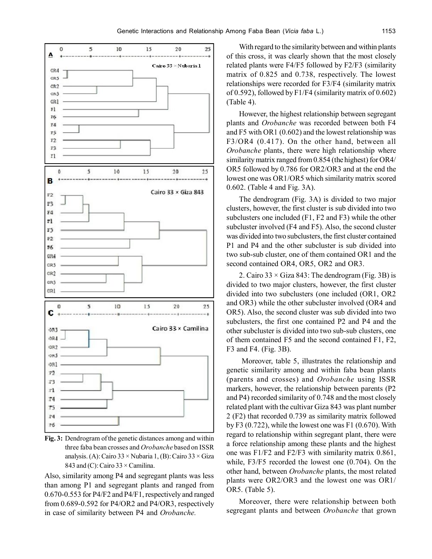

**Fig. 3:** Dendrogram of the genetic distances among and within three faba bean crosses and *Orobanche* based on ISSR analysis. (A): Cairo  $33 \times$  Nubaria 1, (B): Cairo  $33 \times$  Giza 843 and (C): Cairo  $33 \times$  Camilina.

Also, similarity among P4 and segregant plants was less than among P1 and segregant plants and ranged from 0.670-0.553 for P4/F2 and P4/F1, respectively and ranged from 0.689-0.592 for P4/OR2 and P4/OR3, respectively in case of similarity between P4 and *Orobanche.*

With regard to the similarity between and within plants of this cross, it was clearly shown that the most closely related plants were F4/F5 followed by F2/F3 (similarity matrix of 0.825 and 0.738, respectively. The lowest relationships were recorded for F3/F4 (similarity matrix of 0.592), followed by F1/F4 (similarity matrix of 0.602) (Table 4).

However, the highest relationship between segregant plants and *Orobanche* was recorded between both F4 and F5 with OR1 (0.602) and the lowest relationship was F3/OR4 (0.417). On the other hand, between all *Orobanche* plants, there were high relationship where similarity matrix ranged from 0.854 (the highest) for OR4/ OR5 followed by 0.786 for OR2/OR3 and at the end the lowest one was OR1/OR5 which similarity matrix scored 0.602. (Table 4 and Fig. 3A).

The dendrogram (Fig. 3A) is divided to two major clusters, however, the first cluster is sub divided into two subclusters one included (F1, F2 and F3) while the other subcluster involved (F4 and F5). Also, the second cluster was divided into two subclusters, the first cluster contained P1 and P4 and the other subcluster is sub divided into two sub-sub cluster, one of them contained OR1 and the second contained OR4, OR5, OR2 and OR3.

2. Cairo  $33 \times$  Giza 843: The dendrogram (Fig. 3B) is divided to two major clusters, however, the first cluster divided into two subclusters (one included (OR1, OR2 and OR3) while the other subcluster involved (OR4 and OR5). Also, the second cluster was sub divided into two subclusters, the first one contained P2 and P4 and the other subcluster is divided into two sub-sub clusters, one of them contained F5 and the second contained F1, F2, F3 and F4. (Fig. 3B).

 Moreover, table 5, illustrates the relationship and genetic similarity among and within faba bean plants (parents and crosses) and *Orobanche* using ISSR markers, however, the relationship between parents (P2 and P4) recorded similarity of 0.748 and the most closely related plant with the cultivar Giza 843 was plant number 2 (F2) that recorded 0.739 as similarity matrix followed by F3  $(0.722)$ , while the lowest one was F1  $(0.670)$ . With regard to relationship within segregant plant, there were a force relationship among these plants and the highest one was F1/F2 and F2/F3 with similarity matrix 0.861, while, F3/F5 recorded the lowest one (0.704). On the other hand, between *Orobanche* plants, the most related plants were OR2/OR3 and the lowest one was OR1/ OR5. (Table 5).

Moreover, there were relationship between both segregant plants and between *Orobanche* that grown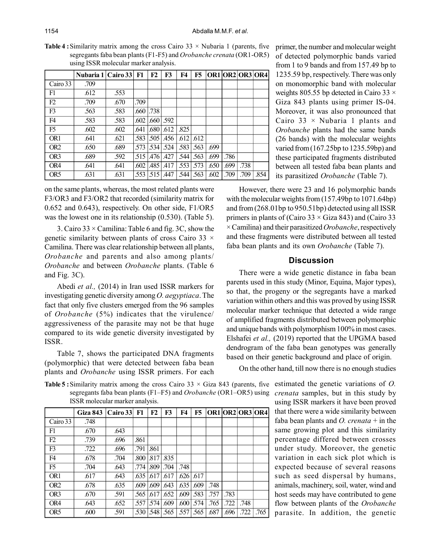|                 | Nubaria 1   Cairo 33 |      | F1   | F2     | F3   | <b>F4</b> | F5   |      |      | OR1 OR2 OR3 OR4 |      |
|-----------------|----------------------|------|------|--------|------|-----------|------|------|------|-----------------|------|
| Cairo 33        | .709                 |      |      |        |      |           |      |      |      |                 |      |
| F1              | .612                 | .553 |      |        |      |           |      |      |      |                 |      |
| F2              | .709                 | .670 | .709 |        |      |           |      |      |      |                 |      |
| F3              | .563                 | .583 | .660 | .738   |      |           |      |      |      |                 |      |
| F4              | .583                 | .583 | .602 | .660   | .592 |           |      |      |      |                 |      |
| F <sub>5</sub>  | .602                 | .602 | .641 | .680   | .612 | .825      |      |      |      |                 |      |
| OR <sub>1</sub> | .641                 | .621 | .583 | .505   | .456 | .612      | .612 |      |      |                 |      |
| OR <sub>2</sub> | .650                 | .689 | .573 | .534   | .524 | .583      | .563 | .699 |      |                 |      |
| OR <sub>3</sub> | .689                 | .592 | .515 | .476 l | .427 | .544      | .563 | .699 | .786 |                 |      |
| OR4             | .641                 | .641 | .602 | .485   | .417 | .553      | .573 | .650 | .699 | .738            |      |
| OR <sub>5</sub> | .631                 | .631 | .553 | .515   | .447 | .544      | .563 | .602 | .709 | .709            | .854 |

**Table 4** : Similarity matrix among the cross Cairo  $33 \times$  Nubaria 1 (parents, five segregants faba bean plants (F1-F5) and *Orobanche crenata* (OR1-OR5) using ISSR molecular marker analysis.

on the same plants, whereas, the most related plants were F3/OR3 and F3/OR2 that recorded (similarity matrix for 0.652 and 0.643), respectively. On other side, F1/OR5 was the lowest one in its relationship (0.530). (Table 5).

3. Cairo  $33 \times$  Camilina: Table 6 and fig. 3C, show the genetic similarity between plants of cross Cairo 33  $\times$ Camilina. There was clear relationship between all plants, *Orobanche* and parents and also among plants/ *Orobanche* and between *Orobanche* plants. (Table 6 and Fig. 3C).

Abedi *et al.,* (2014) in Iran used ISSR markers for investigating genetic diversity among *O. aegyptiaca*. The fact that only five clusters emerged from the 96 samples of *Orobanche* (5%) indicates that the virulence/ aggressiveness of the parasite may not be that huge compared to its wide genetic diversity investigated by ISSR.

Table 7, shows the participated DNA fragments (polymorphic) that were detected between faba bean plants and *Orobanche* using ISSR primers. For each primer, the number and molecular weight of detected polymorphic bands varied from 1 to 9 bands and from 157.49 bp to 1235.59 bp, respectively. There was only on monomorphic band with molecular weights 805.55 bp detected in Cairo 33  $\times$ Giza 843 plants using primer IS-04. Moreover, it was also pronounced that Cairo  $33 \times$  Nubaria 1 plants and *Orobanche* plants had the same bands (26 bands) with the molecular weights varied from (167.25bp to 1235.59bp) and these participated fragments distributed between all tested faba bean plants and its parasitized *Orobanche* (Table 7).

However, there were 23 and 16 polymorphic bands with the molecular weights from  $(157.49bp)$  to  $1071.64bp)$ and from (268.01bp to 950.51bp) detected using all ISSR primers in plants of (Cairo 33  $\times$  Giza 843) and (Cairo 33 × Camilina) and their parasitized *Orobanche*, respectively and these fragments were distributed between all tested faba bean plants and its own *Orobanche* (Table 7).

## **Discussion**

There were a wide genetic distance in faba bean parents used in this study (Minor, Equina, Major types), so that, the progeny or the segregants have a marked variation within others and this was proved by using ISSR molecular marker technique that detected a wide range of amplified fragments distributed between polymorphic and unique bands with polymorphism 100% in most cases. Elshafei *et al.,* (2019) reported that the UPGMA based dendrogram of the faba bean genotypes was generally based on their genetic background and place of origin.

On the other hand, till now there is no enough studies

**Table 5 :**Similarity matrix among the cross Cairo 33 × Giza 843 (parents, five estimated the genetic variations of *O.* segregants faba bean plants (F1–F5) and *Orobanche* (OR1–OR5) using ISSR molecular marker analysis.

|                 | <b>Giza 843</b> | Cairo $33$ | F1   | F2   | F3   | F4   | F5   |      |      |      | OR1 OR2 OR3 OR4 |
|-----------------|-----------------|------------|------|------|------|------|------|------|------|------|-----------------|
| Cairo 33        | .748            |            |      |      |      |      |      |      |      |      |                 |
| F1              | .670            | .643       |      |      |      |      |      |      |      |      |                 |
| F2              | .739            | .696       | .861 |      |      |      |      |      |      |      |                 |
| F3              | .722            | .696       | .791 | .861 |      |      |      |      |      |      |                 |
| F <sub>4</sub>  | .678            | .704       | .800 | .817 | .835 |      |      |      |      |      |                 |
| F5              | .704            | .643       | .774 | .809 | .704 | .748 |      |      |      |      |                 |
| OR <sub>1</sub> | .617            | .643       | .635 | .617 | .617 | .626 | .617 |      |      |      |                 |
| OR <sub>2</sub> | .678            | .635       | .609 | .609 | .643 | .635 | .609 | .748 |      |      |                 |
| OR <sub>3</sub> | .670            | .591       | .565 | .617 | .652 | .609 | .583 | .757 | .783 |      |                 |
| OR4             | .643            | .652       | .557 | .574 | .609 | .600 | .574 | .765 | .722 | .748 |                 |
| OR <sub>5</sub> | .600            | .591       | .530 | .548 | .565 | .557 | .565 | .687 | .696 | .722 | .765            |

*crenata* samples, but in this study by using ISSR markers it have been proved that there were a wide similarity between faba bean plants and *O. crenata* + in the same growing plot and this similarity percentage differed between crosses under study. Moreover, the genetic variation in each sick plot which is expected because of several reasons such as seed dispersal by humans, animals, machinery, soil, water, wind and host seeds may have contributed to gene flow between plants of the *Orobanche* parasite. In addition, the genetic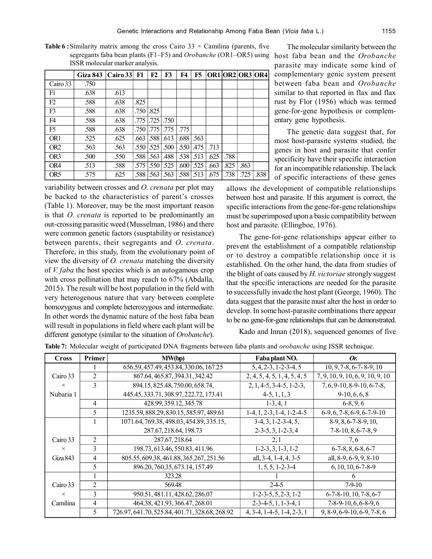|                 | Giza 843   Cairo 33   F1 |      |        | F2   | F3            | F4   | F5       | OR1 OR2 OR3 OR4 |      |      |      |
|-----------------|--------------------------|------|--------|------|---------------|------|----------|-----------------|------|------|------|
| Cairo 33        | .750                     |      |        |      |               |      |          |                 |      |      |      |
| F1              | .638                     | .613 |        |      |               |      |          |                 |      |      |      |
| F2              | .588                     | .638 | .825   |      |               |      |          |                 |      |      |      |
| F <sub>3</sub>  | .588                     | .638 | .750   | .825 |               |      |          |                 |      |      |      |
| F <sub>4</sub>  | .588                     | .638 | .775 I |      | $.725$ $.750$ |      |          |                 |      |      |      |
| F <sub>5</sub>  | .588                     | .638 | .750   | .775 | .775          | .775 |          |                 |      |      |      |
| OR <sub>1</sub> | .525                     | .625 | .663   | .588 | .613          | .688 | .563     |                 |      |      |      |
| OR <sub>2</sub> | .563                     | .563 | .550 l | .525 | .500          | .550 | 475      | .713            |      |      |      |
| OR <sub>3</sub> | .500                     | .550 | .588   | .563 | .488          |      | .538 513 | .625            | .788 |      |      |
| OR4             | .513                     | .588 | .575   | .550 | .525          | .600 | .525     | .663            | .825 | .863 |      |
| OR <sub>5</sub> | .575                     | .625 | .588   | .563 | .563          | .588 | .513     | .675            | .738 | .725 | .838 |

**Table 6 :** Similarity matrix among the cross Cairo  $33 \times$  Camilina (parents, five segregants faba bean plants (F1–F5) and *Orobanche* (OR1–OR5) using host faba bean and the *Orobanche* ISSR molecular marker analysis.

variability between crosses and *O*. *crenata* per plot may be backed to the characteristics of parent's crosses (Table 1). Moreover, may be the most important reason is that *O*. *crenata* is reported to be predominantly an out-crossing parasitic weed (Musselman, 1986) and there were common genetic factors (susptability or resistance) between parents, their segregants and *O*. *crenata*. Therefore, in this study, from the evolutionary point of view the diversity of *O. crenata* matching the diversity of *V. faba* the host species which is an autogamous crop with cross pollination that may reach to 67% (Abdalla, 2015). The result will be host population in the field with very heterogenous nature that vary between complete homozygous and complete heterozygous and intermediate. In other words the dynamic nature of the host faba bean will result in populations in field where each plant will be different genotype (similar to the situation of *Orobanche*).

The molecular similarity between the parasite may indicate some kind of complementary genic system present between faba bean and *Orobanche* similar to that reported in flax and flax rust by Flor (1956) which was termed gene-for-gene hypothesis or complementary gene hypothesis.

The genetic data suggest that, for most host-parasite systems studied, the genes in host and parasite that confer specificity have their specific interaction for an incompatible relationship. The lack of specific interactions of these genes

allows the development of compatible relationships between host and parasite. If this argument is correct, the specific interactions from the gene-for-gene relationships must be superimposed upon a basic compatibility between host and parasite. (Ellingboe, 1976).

The gene-for-gene relationships appear either to prevent the establishment of a compatible relationship or to destroy a compatible relationship once it is established. On the other hand, the data from studies of the blight of oats caused by *H. victoriae* strongly suggest that the specific interactions are needed for the parasite to successfully invade the host plant (George, 1960). The data suggest that the parasite must alter the host in order to develop. In some host-parasite combinations there appear to be no gene-for-gene relationships that can be demonstrated.

Kado and Innan (2018), sequenced genomes of five

| <b>Cross</b> | Primer         | <b>MW(bp)</b>                                  | Faba plant NO.               | Or.                               |
|--------------|----------------|------------------------------------------------|------------------------------|-----------------------------------|
|              |                | 656.59, 457.49, 453.84, 330.06, 167.25         | $5, 4, 2-3, 1-2-3-4, 5$      | $10, 9, 7-8, 6-7-8-9, 10$         |
| Cairo 33     | 2              | 867.64, 465.87, 394.31, 342.42                 | 2, 4, 5, 4, 5, 1, 4, 5, 4, 5 | 7, 9, 10, 9, 10, 6, 9, 10, 9, 10  |
| $\times$     | 3              | 894.15, 825.48, 750.00, 658.74,                | $2, 1, 4-5, 3-4-5, 1-2-3,$   | $7, 6, 9-10, 8-9-10, 6-7-8,$      |
| Nubaria 1    |                | 445.45, 333.71, 308.97, 222.72, 173.41         | $4-5, 1, 1, 3$               | $9-10, 6, 6, 8$                   |
|              | 4              | 428.99, 359.12, 345.78                         | $1-3, 4, 1$                  | $6-8, 9, 6$                       |
|              | 5              | 1235.59, 888.29, 830.15, 585.97, 489.61        | $1-4, 1, 2-3, 1-4, 1-2-4-5$  | $6-9, 6, 7-8, 6-9, 6-7-9-10$      |
|              |                | 1071.64, 769.38, 498.03, 454.89, 335.15,       | $3-4, 3, 1-2-3-4, 5,$        | $8-9, 8, 6-7-8-9, 10,$            |
|              |                | 287.67, 218.64, 198.73                         | $2-3-5, 3, 1-2-3, 4$         | $7-8-10, 8, 6-7-8, 9$             |
| Cairo 33     | 2              | 287.67, 218.64                                 | 2, 1                         | 7,6                               |
| $\times$     | 3              | 198.73, 613.46, 550.83, 411.96                 | $1-2-3, 3, 1-3, 1-2$         | $6-7-8, 8, 6-8, 6-7$              |
| Giza 843     | 4              | 805.55, 609.38, 461.88, 365.267, 251.56        | all, 3-4, 1-4, 4, 3-5        | all, 8-9, 6-9, 9, 8-10            |
|              | 5              | 896.20, 760.35, 673.14, 157.49                 | $1, 5, 5, 1-2-3-4$           | $6, 10, 10, 6 - 7 - 8 - 9$        |
|              |                | 323.28                                         |                              |                                   |
| Cairo 33     | $\mathfrak{D}$ | 569.48                                         | $2-4-5$                      | 7-9-10                            |
| $\times$     | 3              | 950.51, 481.11, 428.62, 286.07                 | $1-2-3-5, 5, 2-3, 1-2$       | $6-7-8-10$ , $10$ , $7-8$ , $6-7$ |
| Camilina     | $\overline{4}$ | 464.38, 421.93, 366.47, 268.01                 | $2-3-4-5, 1, 1-3-4, 1$       | $7-8-9-10, 6, 6-8-9, 6$           |
|              | 5              | 726.97, 641.70, 525.84, 401.71, 328.68, 268.92 | $4, 3-4, 1-4-5, 1-4, 2-3, 1$ | $9, 8-9, 6-9-10, 6-9, 7-8, 6$     |

**Table 7:** Molecular weight of participated DNA fragments between faba plants and *orobanche* using ISSR technique.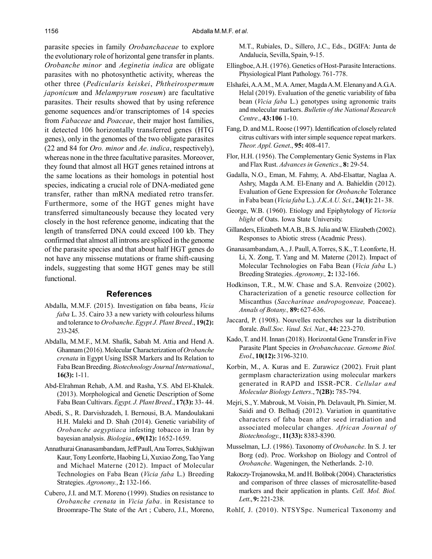parasite species in family *Orobanchaceae* to explore the evolutionary role of horizontal gene transfer in plants. *Orobanche minor* and *Aeginetia indica* are obligate parasites with no photosynthetic activity, whereas the other three (*Pedicularis keiskei*, *Phtheirospermum japonicum* and *Melampyrum roseum*) are facultative parasites. Their results showed that by using reference genome sequences and/or transcriptomes of 14 species from *Fabaceae* and *Poaceae*, their major host families, it detected 106 horizontally transferred genes (HTG genes), only in the genomes of the two obligate parasites (22 and 84 for *Oro. minor* and *Ae*. *indica*, respectively), whereas none in the three facultative parasites. Moreover, they found that almost all HGT genes retained introns at the same locations as their homologs in potential host species, indicating a crucial role of DNA-mediated gene transfer, rather than mRNA mediated retro transfer. Furthermore, some of the HGT genes might have transferred simultaneously because they located very closely in the host reference genome, indicating that the length of transferred DNA could exceed 100 kb. They confirmed that almost all introns are spliced in the genome of the parasite species and that about half HGT genes do not have any missense mutations or frame shift-causing indels, suggesting that some HGT genes may be still functional.

#### **References**

- Abdalla, M.M.F. (2015). Investigation on faba beans, *Vicia faba* L. 35. Cairo 33 a new variety with colourless hilums and tolerance to *Orobanche*. *Egypt J. Plant Breed*., **19(2):** 233-245.
- Abdalla, M.M.F., M.M. Shafik, Sabah M. Attia and Hend A. Ghannam (2016). Molecular Characterization of *Orobanche crenata* in Egypt Using ISSR Markers and Its Relation to Faba Bean Breeding. *Biotechnology Journal International*., **16(3):** 1-11.
- Abd-Elrahman Rehab, A.M. and Rasha, Y.S. Abd El-Khalek. (2013). Morphological and Genetic Description of Some Faba Bean Cultivars. *Egypt. J. Plant Breed*., **17(3):** 33- 44.
- Abedi, S., R. Darvishzadeh, I. Bernousi, B.A. Mandoulakani H.H. Maleki and D. Shah (2014). Genetic variability of *Orobanche aegyptiaca* infesting tobacco in Iran by bayesian analysis. *Biologia*., **69(12):** 1652-1659.
- Annathurai Gnanasambandam, Jeff Paull, Ana Torres, Sukhjiwan Kaur, Tony Leonforte, Haobing Li, Xuxiao Zong, Tao Yang and Michael Materne (2012). Impact of Molecular Technologies on Faba Bean (*Vicia faba* L.) Breeding Strategies. *Agronomy.*, **2:** 132-166.
- Cubero, J.I. and M.T. Moreno (1999). Studies on resistance to *Orobanche crenata* in *Vicia faba*. in Resistance to Broomrape-The State of the Art ; Cubero, J.I., Moreno,

M.T., Rubiales, D., Sillero, J.C., Eds., DGIFA: Junta de Andalucía, Sevilla, Spain, 9-15.

- Ellingboe, A.H. (1976). Genetics of Host-Parasite Interactions. Physiological Plant Pathology. 761-778.
- Elshafei, A.A.M., M.A. Amer, Magda A.M. Elenany and A.G.A. Helal (2019). Evaluation of the genetic variability of faba bean (*Vicia faba* L.) genotypes using agronomic traits and molecular markers. *Bulletin of the National Research Centre*., **43:106** 1-10.
- Fang, D. and M.L. Roose (1997). Identification of closely related citrus cultivars with inter simple sequence repeat markers. *Theor. Appl. Genet*., **95:** 408-417.
- Flor, H.H. (1956). The Complementary Genic Systems in Flax and Flax Rust. *Advances in Genetics*., **8:** 29-54.
- Gadalla, N.O., Eman, M. Fahmy, A. Abd-Elsattar, Naglaa A. Ashry, Magda A.M. El-Enany and A. Bahieldin (2012). Evaluation of Gene Expression for *Orobanche* Tolerance in Faba bean (*Vicia faba* L.). *J.K.A.U. Sci.*, **24(1):** 21- 38.
- George, W.B. (1960). Etiology and Epiphytology of *Victoria blight* of Oats. Iowa State University.
- Gillanders, Elizabeth M.A.B., B.S. Julia and W. Elizabeth (2002). Responses to Abiotic stress (Acadmic Press).
- Gnanasambandam, A., J. Paull, A.Torres, S.K., T. Leonforte, H. Li, X. Zong, T. Yang and M. Materne (2012). Impact of Molecular Technologies on Faba Bean (*Vicia faba* L.) Breeding Strategies. *Agronomy.,* **2:** 132-166.
- Hodkinson, T.R., M.W. Chase and S.A. Renvoize (2002). Characterization of a genetic resource collection for Miscanthus (*Saccharinae andropogoneae,* Poaceae). *Annals of Botany.,* **89:** 627-636.
- Jaccard, P. (1908). Nouvelles recherches sur la distribution florale. *Bull.Soc. Vaud. Sci. Nat*., **44:** 223-270.
- Kado, T. and H. Innan (2018). Horizontal Gene Transfer in Five Parasite Plant Species in *Orobanchaceae*. *Genome Biol. Evol*., **10(12):** 3196-3210.
- Korbin, M., A. Kuras and E. Zurawicz (2002). Fruit plant germplasm characterization using molecular markers generated in RAPD and ISSR-PCR. *Cellular and Molecular Biology Letters*., **7(2B):** 785-794.
- Mejri, S., Y. Mabrouk, M. Voisin, Ph. Delavault, Ph. Simier, M. Saidi and O. Belhadj (2012). Variation in quantitative characters of faba bean after seed irradiation and associated molecular changes. *African Journal of Biotechnology.*, **11(33):** 8383-8390.
- Musselman, L.J. (1986). Taxonomy of *Orobanche*. In S. J. ter Borg (ed). Proc. Workshop on Biology and Control of *Orobanche*. Wageningen, the Netherlands. 2-10.
- Rakoczy-Trojanowska, M. and H. Bolibok (2004). Characteristics and comparison of three classes of microsatellite-based markers and their application in plants. *Cell. Mol. Biol. Lett*., **9:** 221-238.
- Rohlf, J. (2010). NTSYSpc. Numerical Taxonomy and